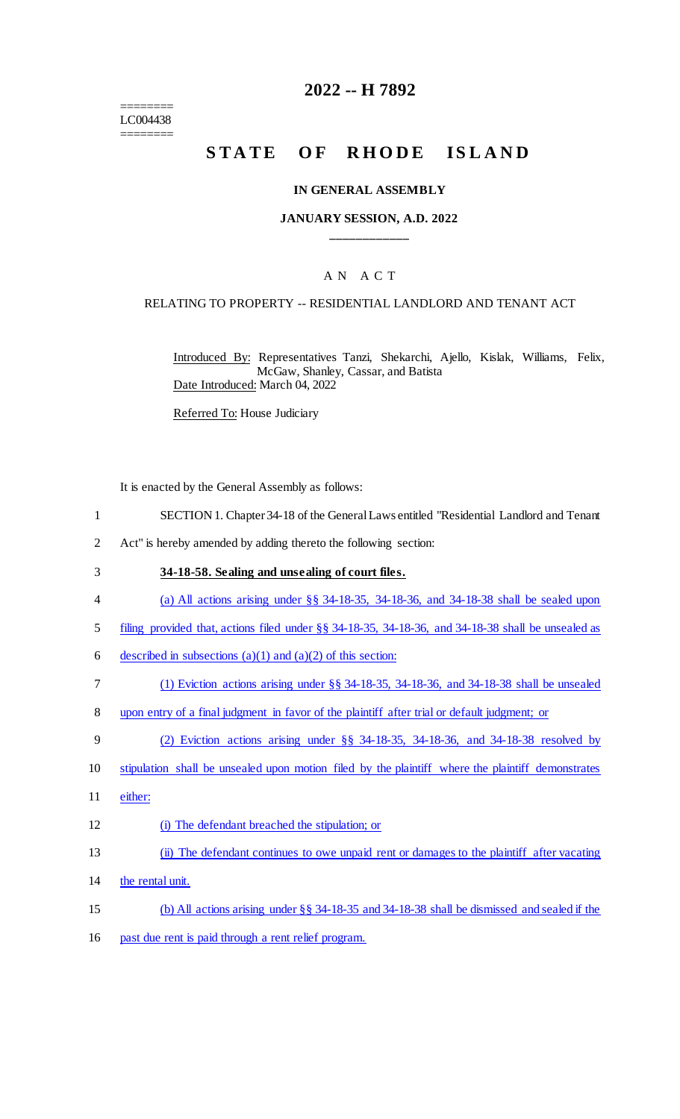======== LC004438 ========

## **2022 -- H 7892**

# STATE OF RHODE ISLAND

#### **IN GENERAL ASSEMBLY**

### **JANUARY SESSION, A.D. 2022 \_\_\_\_\_\_\_\_\_\_\_\_**

## A N A C T

#### RELATING TO PROPERTY -- RESIDENTIAL LANDLORD AND TENANT ACT

Introduced By: Representatives Tanzi, Shekarchi, Ajello, Kislak, Williams, Felix, McGaw, Shanley, Cassar, and Batista Date Introduced: March 04, 2022

Referred To: House Judiciary

It is enacted by the General Assembly as follows:

- 1 SECTION 1. Chapter 34-18 of the General Laws entitled "Residential Landlord and Tenant
- 2 Act" is hereby amended by adding thereto the following section:
- 3 **34-18-58. Sealing and unsealing of court files.**
- 4 (a) All actions arising under §§ 34-18-35, 34-18-36, and 34-18-38 shall be sealed upon
- 5 filing provided that, actions filed under §§ 34-18-35, 34-18-36, and 34-18-38 shall be unsealed as
- 6 described in subsections (a)(1) and (a)(2) of this section:
- 7 (1) Eviction actions arising under §§ 34-18-35, 34-18-36, and 34-18-38 shall be unsealed
- 8 upon entry of a final judgment in favor of the plaintiff after trial or default judgment; or
- 9 (2) Eviction actions arising under §§ 34-18-35, 34-18-36, and 34-18-38 resolved by
- 10 stipulation shall be unsealed upon motion filed by the plaintiff where the plaintiff demonstrates
- 11 either:
- 12 (i) The defendant breached the stipulation; or
- 13 (ii) The defendant continues to owe unpaid rent or damages to the plaintiff after vacating
- 14 the rental unit.
- 15 (b) All actions arising under §§ 34-18-35 and 34-18-38 shall be dismissed and sealed if the
- 16 past due rent is paid through a rent relief program.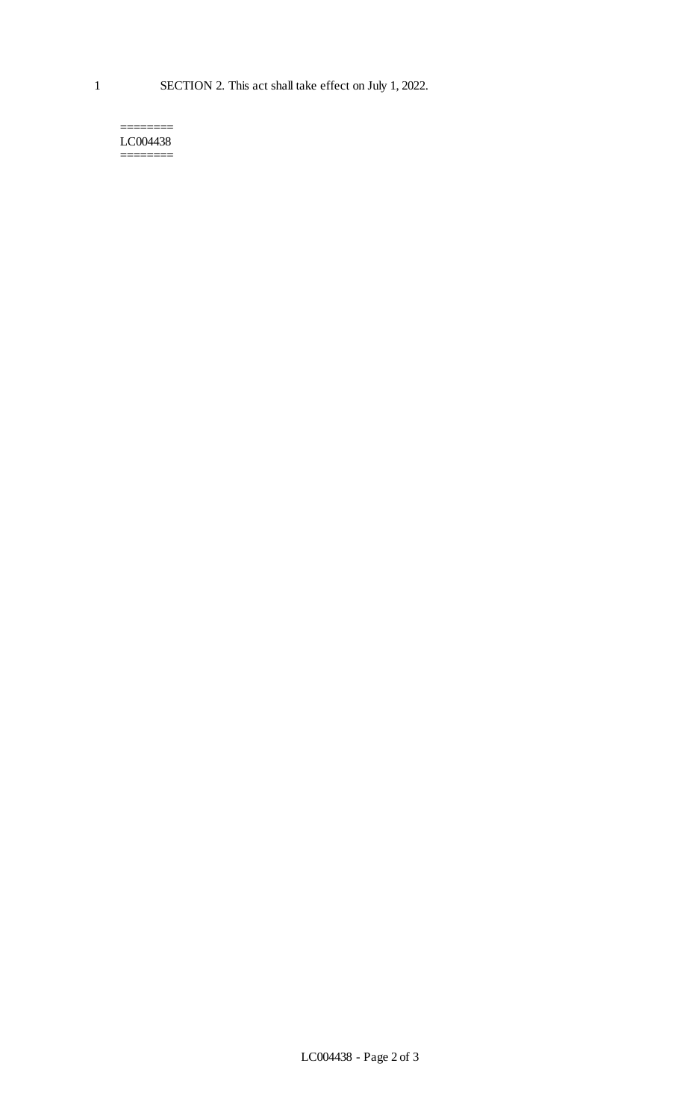======== LC004438 ========